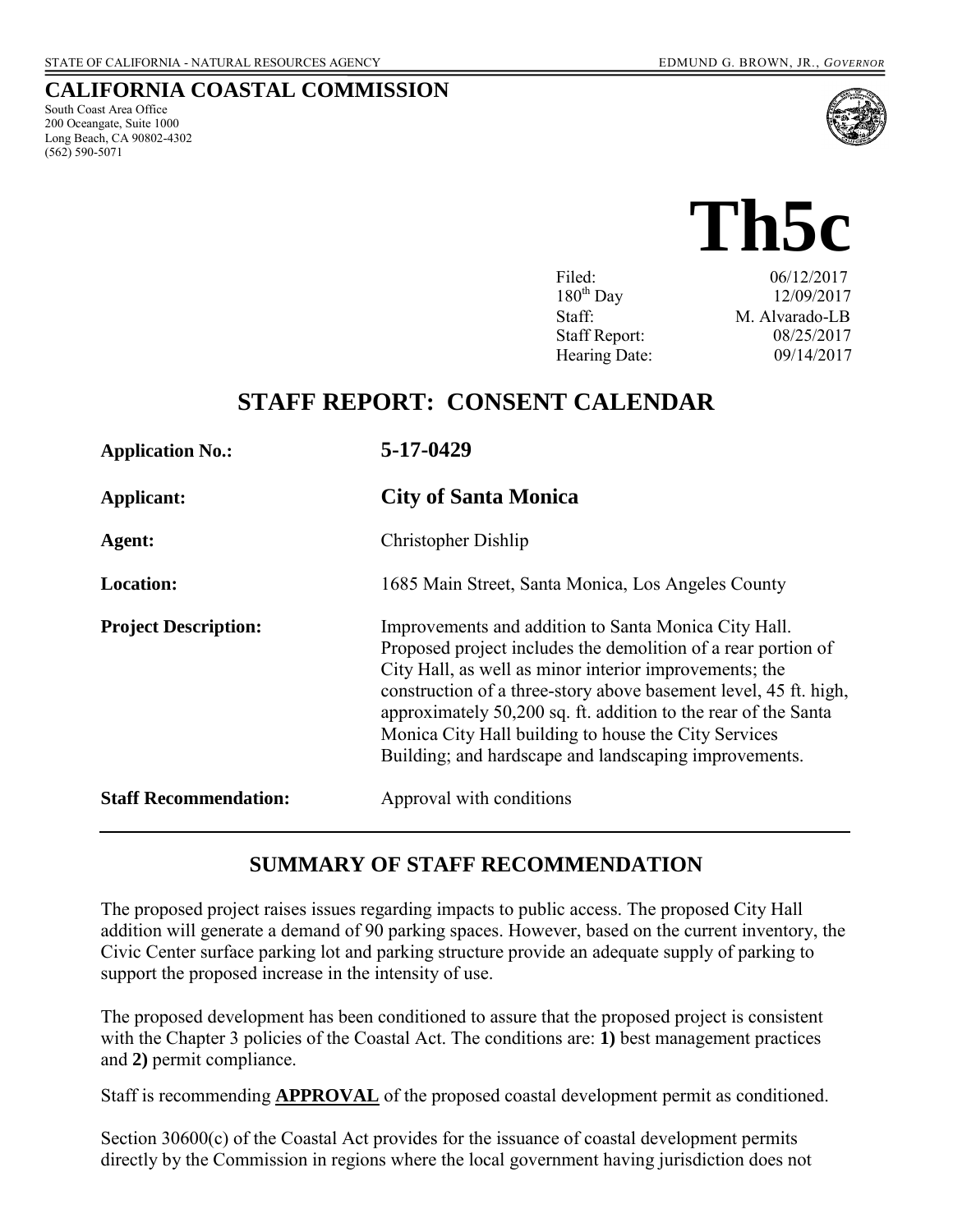South Coast Area Office 200 Oceangate, Suite 1000 Long Beach, CA 90802-4302

(562) 590-5071

**CALIFORNIA COASTAL COMMISSION** 

# **Th5c**

| Filed:               | 06/12/2017     |
|----------------------|----------------|
| $180^{th}$ Day       | 12/09/2017     |
| Staff:               | M. Alvarado-LB |
| <b>Staff Report:</b> | 08/25/2017     |
| Hearing Date:        | 09/14/2017     |

# **STAFF REPORT: CONSENT CALENDAR**

| <b>Application No.:</b>      | 5-17-0429                                                                                                                                                                                                                                                                                                                                                                                                                              |
|------------------------------|----------------------------------------------------------------------------------------------------------------------------------------------------------------------------------------------------------------------------------------------------------------------------------------------------------------------------------------------------------------------------------------------------------------------------------------|
| Applicant:                   | <b>City of Santa Monica</b>                                                                                                                                                                                                                                                                                                                                                                                                            |
| Agent:                       | Christopher Dishlip                                                                                                                                                                                                                                                                                                                                                                                                                    |
| <b>Location:</b>             | 1685 Main Street, Santa Monica, Los Angeles County                                                                                                                                                                                                                                                                                                                                                                                     |
| <b>Project Description:</b>  | Improvements and addition to Santa Monica City Hall.<br>Proposed project includes the demolition of a rear portion of<br>City Hall, as well as minor interior improvements; the<br>construction of a three-story above basement level, 45 ft. high,<br>approximately 50,200 sq. ft. addition to the rear of the Santa<br>Monica City Hall building to house the City Services<br>Building; and hardscape and landscaping improvements. |
| <b>Staff Recommendation:</b> | Approval with conditions                                                                                                                                                                                                                                                                                                                                                                                                               |

# **SUMMARY OF STAFF RECOMMENDATION**

The proposed project raises issues regarding impacts to public access. The proposed City Hall addition will generate a demand of 90 parking spaces. However, based on the current inventory, the Civic Center surface parking lot and parking structure provide an adequate supply of parking to support the proposed increase in the intensity of use.

The proposed development has been conditioned to assure that the proposed project is consistent with the Chapter 3 policies of the Coastal Act. The conditions are: **1)** best management practices and **2)** permit compliance.

Staff is recommending **APPROVAL** of the proposed coastal development permit as conditioned.

Section 30600(c) of the Coastal Act provides for the issuance of coastal development permits directly by the Commission in regions where the local government having jurisdiction does not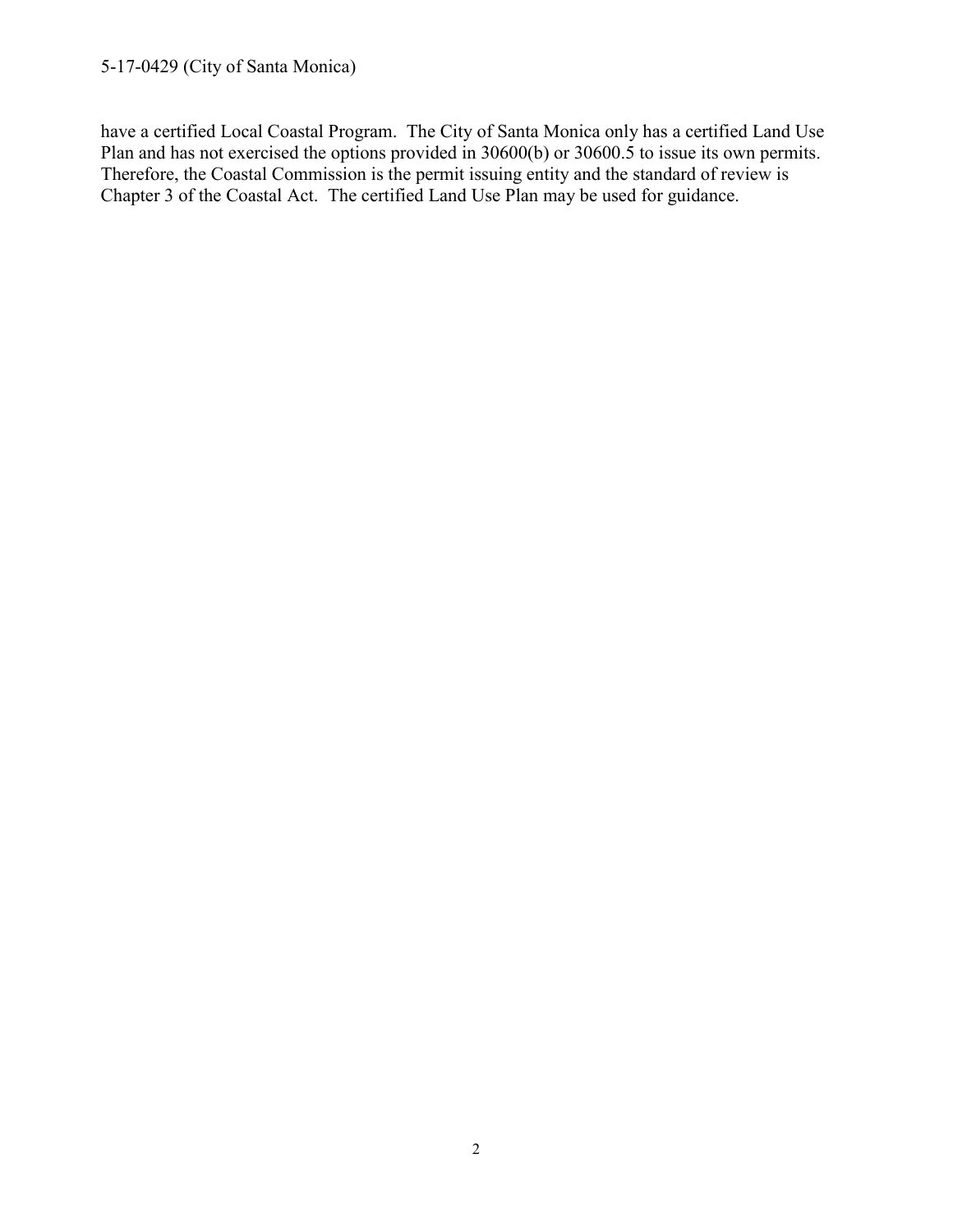have a certified Local Coastal Program. The City of Santa Monica only has a certified Land Use Plan and has not exercised the options provided in 30600(b) or 30600.5 to issue its own permits. Therefore, the Coastal Commission is the permit issuing entity and the standard of review is Chapter 3 of the Coastal Act. The certified Land Use Plan may be used for guidance.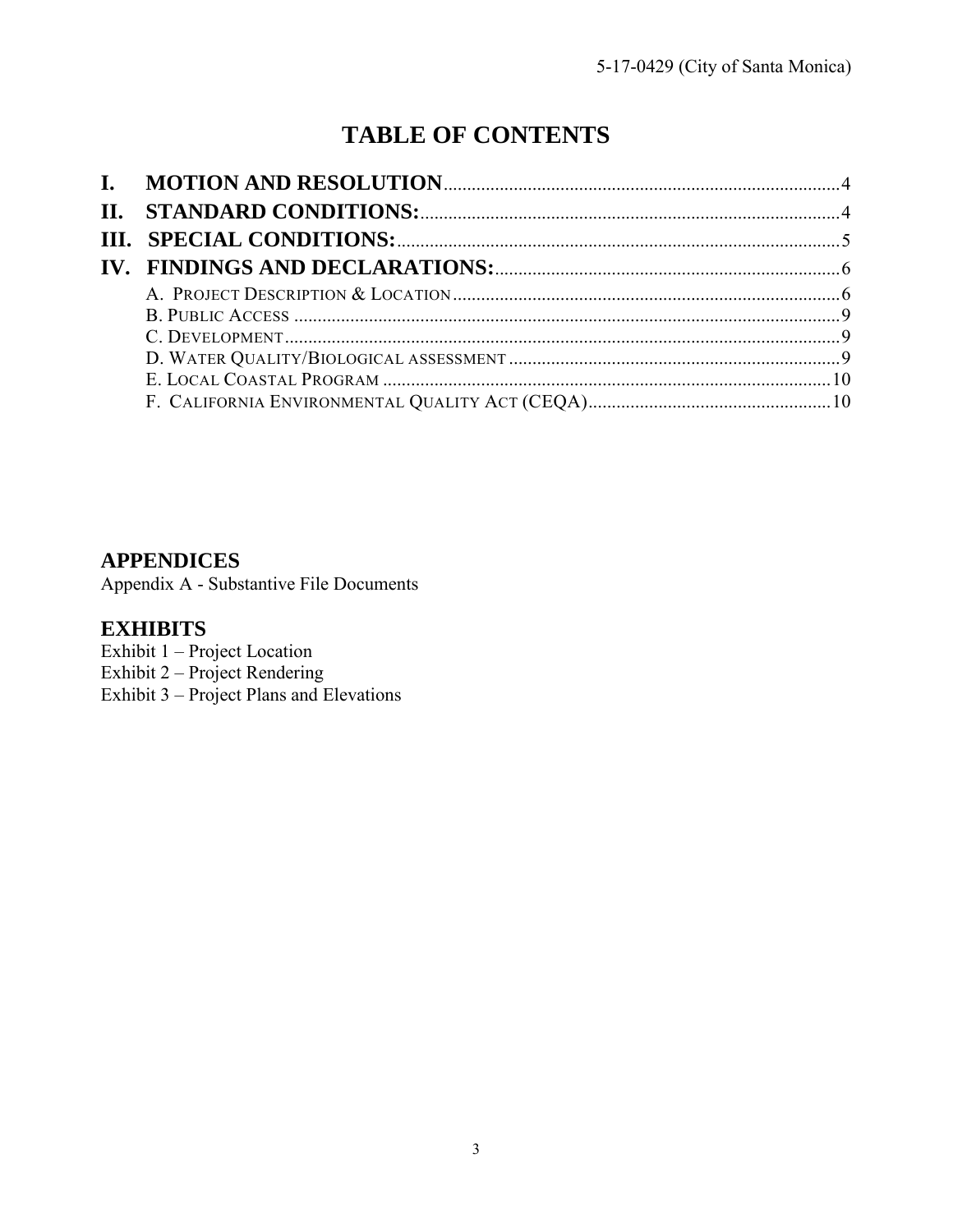# **TABLE OF CONTENTS**

# **APPENDICES**

Appendix A - Substantive File Documents

# **EXHIBITS**

Exhibit 1 – Project Location

Exhibit 2 – Project Rendering

Exhibit 3 – [Project Plans and Elevations](https://documents.coastal.ca.gov/reports/2017/9/Th5c/Th5c-9-2017-exhibits.pdf)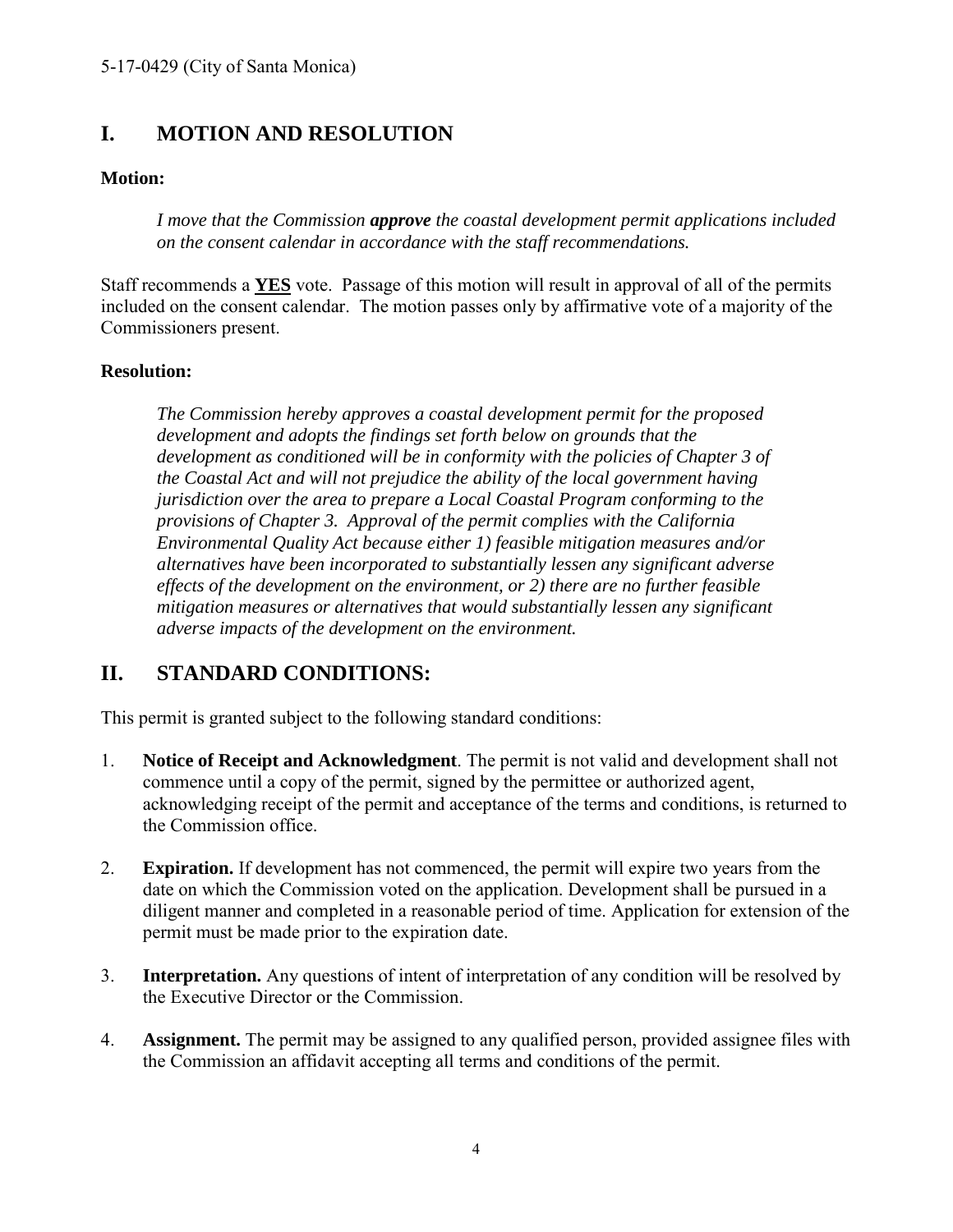# <span id="page-3-0"></span>**I. MOTION AND RESOLUTION**

#### **Motion:**

*I move that the Commission approve the coastal development permit applications included on the consent calendar in accordance with the staff recommendations.*

Staff recommends a **YES** vote. Passage of this motion will result in approval of all of the permits included on the consent calendar. The motion passes only by affirmative vote of a majority of the Commissioners present.

#### **Resolution:**

*The Commission hereby approves a coastal development permit for the proposed development and adopts the findings set forth below on grounds that the development as conditioned will be in conformity with the policies of Chapter 3 of the Coastal Act and will not prejudice the ability of the local government having jurisdiction over the area to prepare a Local Coastal Program conforming to the provisions of Chapter 3. Approval of the permit complies with the California Environmental Quality Act because either 1) feasible mitigation measures and/or alternatives have been incorporated to substantially lessen any significant adverse effects of the development on the environment, or 2) there are no further feasible mitigation measures or alternatives that would substantially lessen any significant adverse impacts of the development on the environment.* 

# <span id="page-3-1"></span>**II. STANDARD CONDITIONS:**

This permit is granted subject to the following standard conditions:

- 1. **Notice of Receipt and Acknowledgment**. The permit is not valid and development shall not commence until a copy of the permit, signed by the permittee or authorized agent, acknowledging receipt of the permit and acceptance of the terms and conditions, is returned to the Commission office.
- 2. **Expiration.** If development has not commenced, the permit will expire two years from the date on which the Commission voted on the application. Development shall be pursued in a diligent manner and completed in a reasonable period of time. Application for extension of the permit must be made prior to the expiration date.
- 3. **Interpretation.** Any questions of intent of interpretation of any condition will be resolved by the Executive Director or the Commission.
- 4. **Assignment.** The permit may be assigned to any qualified person, provided assignee files with the Commission an affidavit accepting all terms and conditions of the permit.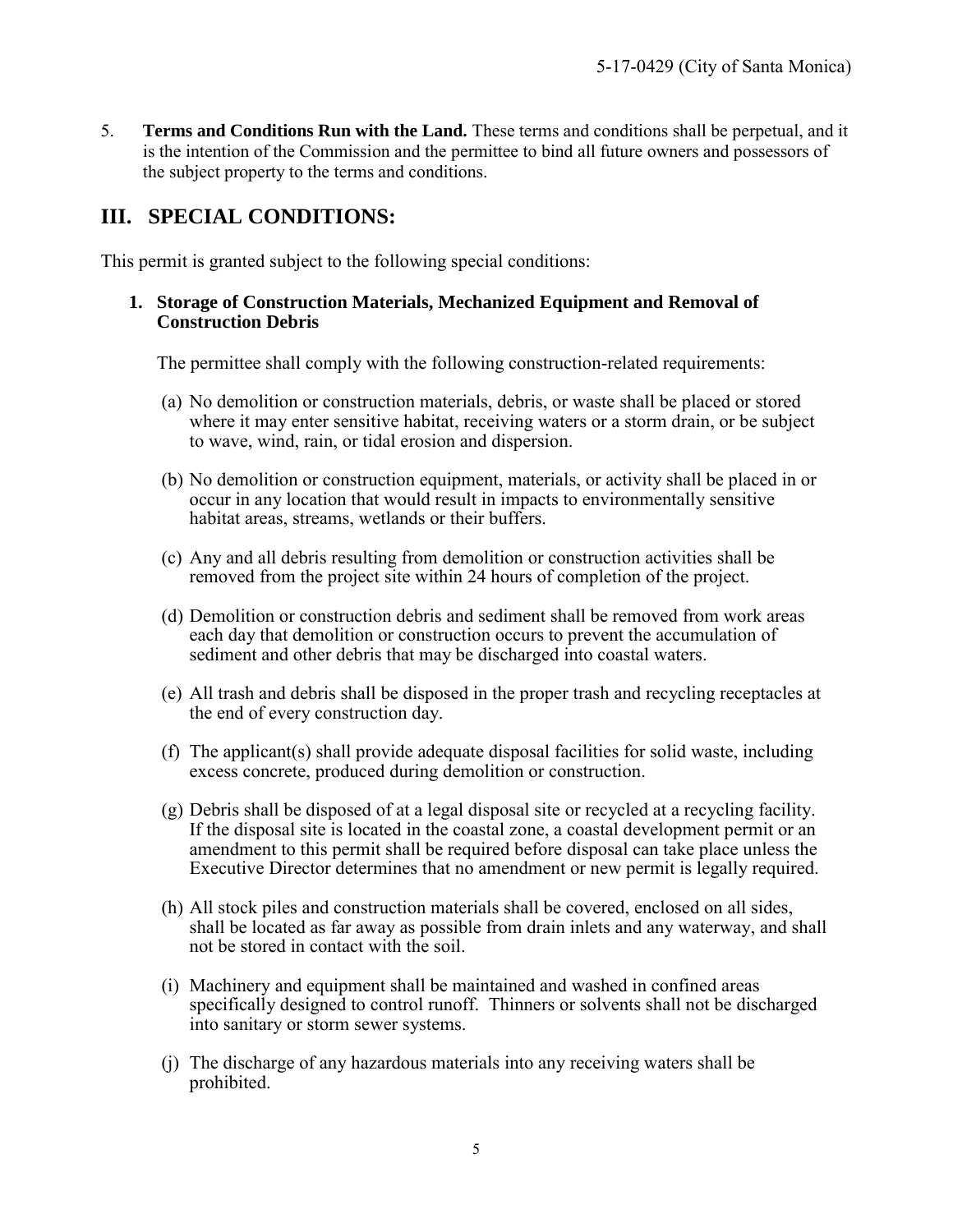5. **Terms and Conditions Run with the Land.** These terms and conditions shall be perpetual, and it is the intention of the Commission and the permittee to bind all future owners and possessors of the subject property to the terms and conditions.

# <span id="page-4-0"></span>**III. SPECIAL CONDITIONS:**

This permit is granted subject to the following special conditions:

#### **1. Storage of Construction Materials, Mechanized Equipment and Removal of Construction Debris**

The permittee shall comply with the following construction-related requirements:

- (a) No demolition or construction materials, debris, or waste shall be placed or stored where it may enter sensitive habitat, receiving waters or a storm drain, or be subject to wave, wind, rain, or tidal erosion and dispersion.
- (b) No demolition or construction equipment, materials, or activity shall be placed in or occur in any location that would result in impacts to environmentally sensitive habitat areas, streams, wetlands or their buffers.
- (c) Any and all debris resulting from demolition or construction activities shall be removed from the project site within 24 hours of completion of the project.
- (d) Demolition or construction debris and sediment shall be removed from work areas each day that demolition or construction occurs to prevent the accumulation of sediment and other debris that may be discharged into coastal waters.
- (e) All trash and debris shall be disposed in the proper trash and recycling receptacles at the end of every construction day.
- (f) The applicant(s) shall provide adequate disposal facilities for solid waste, including excess concrete, produced during demolition or construction.
- (g) Debris shall be disposed of at a legal disposal site or recycled at a recycling facility. If the disposal site is located in the coastal zone, a coastal development permit or an amendment to this permit shall be required before disposal can take place unless the Executive Director determines that no amendment or new permit is legally required.
- (h) All stock piles and construction materials shall be covered, enclosed on all sides, shall be located as far away as possible from drain inlets and any waterway, and shall not be stored in contact with the soil.
- (i) Machinery and equipment shall be maintained and washed in confined areas specifically designed to control runoff. Thinners or solvents shall not be discharged into sanitary or storm sewer systems.
- (j) The discharge of any hazardous materials into any receiving waters shall be prohibited.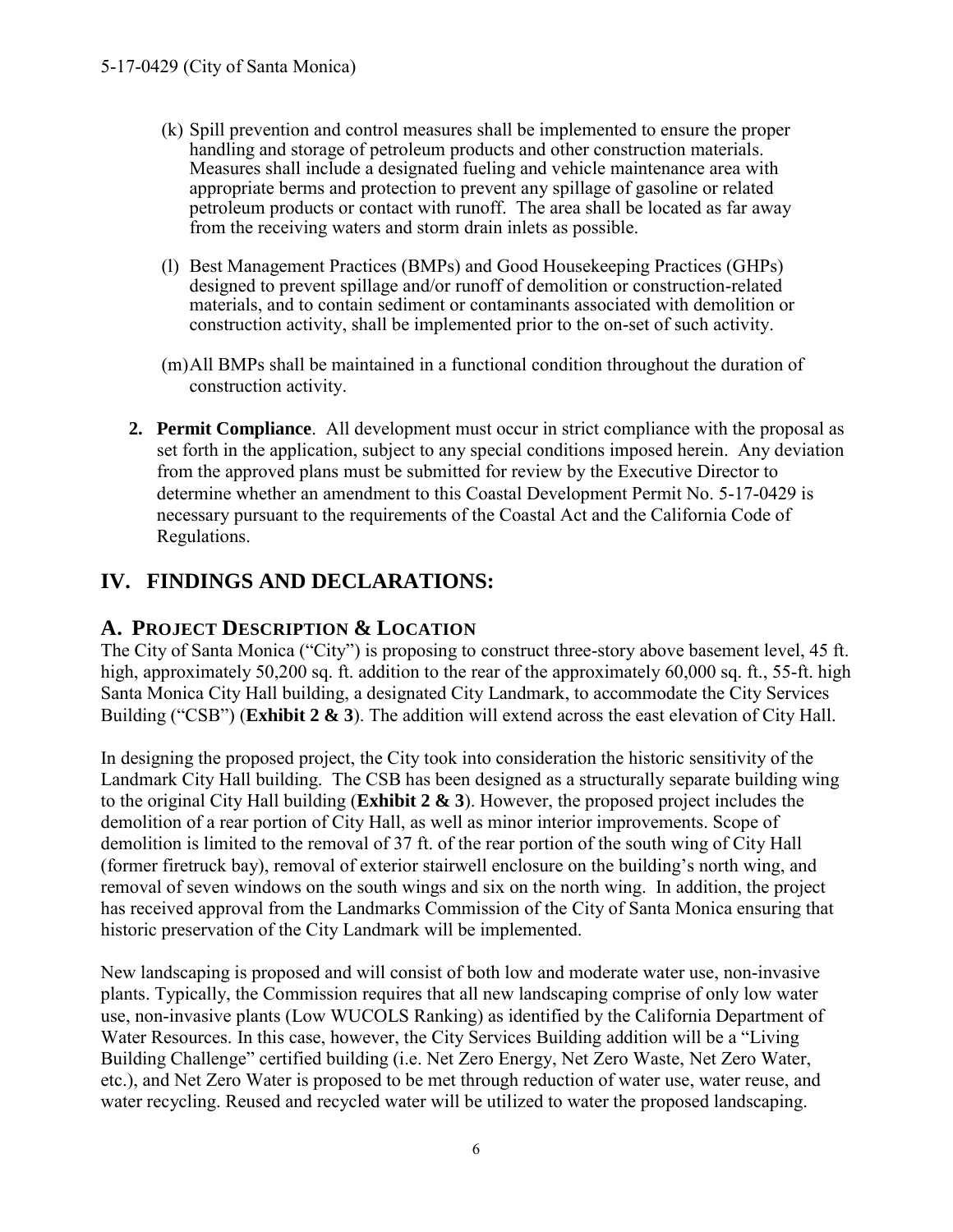- (k) Spill prevention and control measures shall be implemented to ensure the proper handling and storage of petroleum products and other construction materials. Measures shall include a designated fueling and vehicle maintenance area with appropriate berms and protection to prevent any spillage of gasoline or related petroleum products or contact with runoff. The area shall be located as far away from the receiving waters and storm drain inlets as possible.
- (l) Best Management Practices (BMPs) and Good Housekeeping Practices (GHPs) designed to prevent spillage and/or runoff of demolition or construction-related materials, and to contain sediment or contaminants associated with demolition or construction activity, shall be implemented prior to the on-set of such activity.
- (m)All BMPs shall be maintained in a functional condition throughout the duration of construction activity.
- **2. Permit Compliance**. All development must occur in strict compliance with the proposal as set forth in the application, subject to any special conditions imposed herein. Any deviation from the approved plans must be submitted for review by the Executive Director to determine whether an amendment to this Coastal Development Permit No. 5-17-0429 is necessary pursuant to the requirements of the Coastal Act and the California Code of Regulations.

# <span id="page-5-0"></span>**IV. FINDINGS AND DECLARATIONS:**

# <span id="page-5-1"></span>**A. PROJECT DESCRIPTION & LOCATION**

The City of Santa Monica ("City") is proposing to construct three-story above basement level, 45 ft. high, approximately 50,200 sq. ft. addition to the rear of the approximately 60,000 sq. ft., 55-ft. high Santa Monica City Hall building, a designated City Landmark, to accommodate the City Services Building ("CSB") (**[Exhibit 2](https://documents.coastal.ca.gov/reports/2017/9/Th5c/Th5c-9-2017-exhibits.pdf) & 3**). The addition will extend across the east elevation of City Hall.

In designing the proposed project, the City took into consideration the historic sensitivity of the Landmark City Hall building. The CSB has been designed as a structurally separate building wing to the original City Hall building (**[Exhibit 2](https://documents.coastal.ca.gov/reports/2017/9/Th5c/Th5c-9-2017-exhibits.pdf) & 3**). However, the proposed project includes the demolition of a rear portion of City Hall, as well as minor interior improvements. Scope of demolition is limited to the removal of 37 ft. of the rear portion of the south wing of City Hall (former firetruck bay), removal of exterior stairwell enclosure on the building's north wing, and removal of seven windows on the south wings and six on the north wing. In addition, the project has received approval from the Landmarks Commission of the City of Santa Monica ensuring that historic preservation of the City Landmark will be implemented.

New landscaping is proposed and will consist of both low and moderate water use, non-invasive plants. Typically, the Commission requires that all new landscaping comprise of only low water use, non-invasive plants (Low WUCOLS Ranking) as identified by the California Department of Water Resources. In this case, however, the City Services Building addition will be a "Living Building Challenge" certified building (i.e. Net Zero Energy, Net Zero Waste, Net Zero Water, etc.), and Net Zero Water is proposed to be met through reduction of water use, water reuse, and water recycling. Reused and recycled water will be utilized to water the proposed landscaping.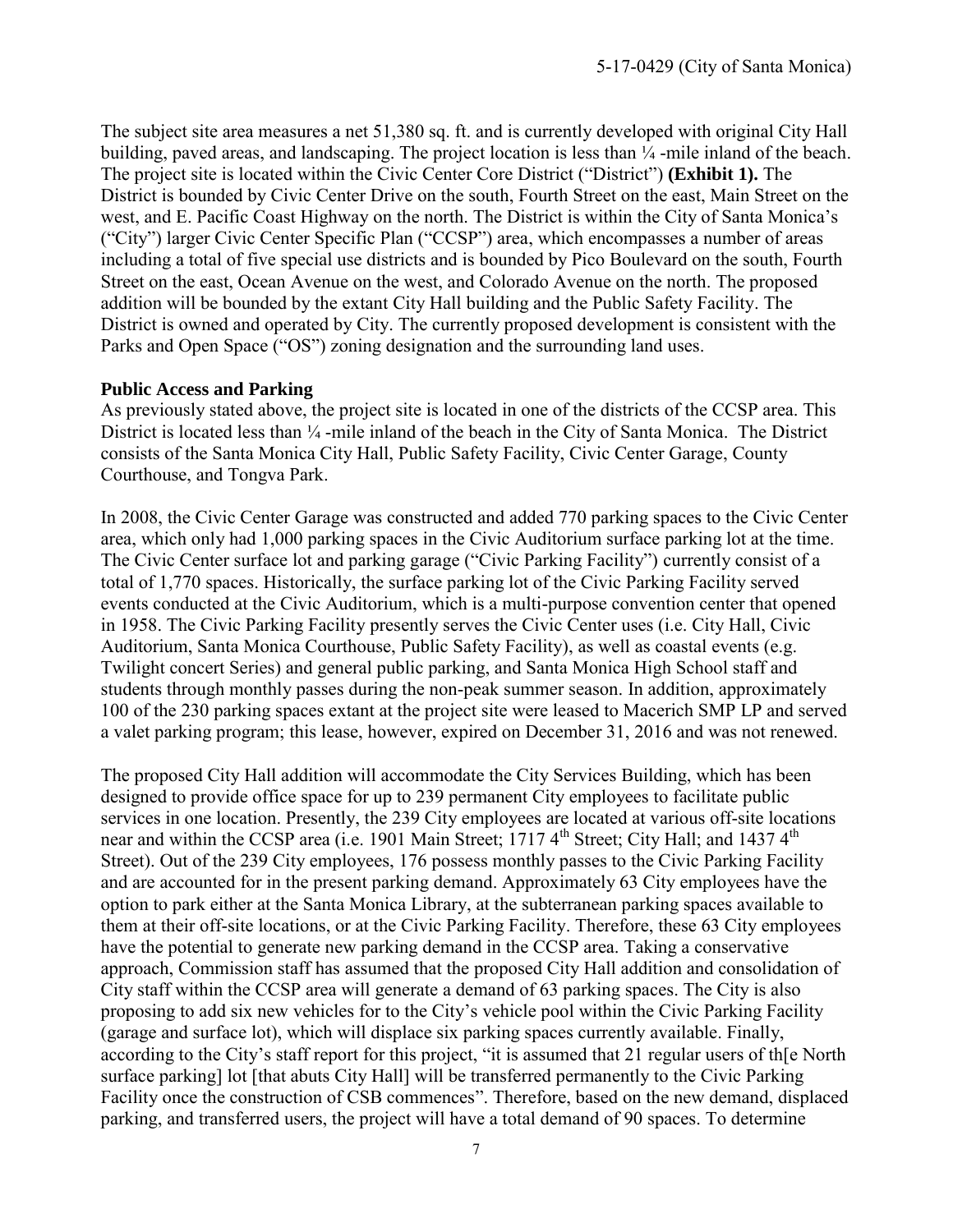The subject site area measures a net 51,380 sq. ft. and is currently developed with original City Hall building, paved areas, and landscaping. The project location is less than  $\frac{1}{4}$ -mile inland of the beach. The project site is located within the Civic Center Core District ("District") **[\(Exhibit 1\).](https://documents.coastal.ca.gov/reports/2017/9/Th5c/Th5c-9-2017-exhibits.pdf)** The District is bounded by Civic Center Drive on the south, Fourth Street on the east, Main Street on the west, and E. Pacific Coast Highway on the north. The District is within the City of Santa Monica's ("City") larger Civic Center Specific Plan ("CCSP") area, which encompasses a number of areas including a total of five special use districts and is bounded by Pico Boulevard on the south, Fourth Street on the east, Ocean Avenue on the west, and Colorado Avenue on the north. The proposed addition will be bounded by the extant City Hall building and the Public Safety Facility. The District is owned and operated by City. The currently proposed development is consistent with the Parks and Open Space ("OS") zoning designation and the surrounding land uses.

#### **Public Access and Parking**

As previously stated above, the project site is located in one of the districts of the CCSP area. This District is located less than  $\frac{1}{4}$ -mile inland of the beach in the City of Santa Monica. The District consists of the Santa Monica City Hall, Public Safety Facility, Civic Center Garage, County Courthouse, and Tongva Park.

In 2008, the Civic Center Garage was constructed and added 770 parking spaces to the Civic Center area, which only had 1,000 parking spaces in the Civic Auditorium surface parking lot at the time. The Civic Center surface lot and parking garage ("Civic Parking Facility") currently consist of a total of 1,770 spaces. Historically, the surface parking lot of the Civic Parking Facility served events conducted at the Civic Auditorium, which is a multi-purpose convention center that opened in 1958. The Civic Parking Facility presently serves the Civic Center uses (i.e. City Hall, Civic Auditorium, Santa Monica Courthouse, Public Safety Facility), as well as coastal events (e.g. Twilight concert Series) and general public parking, and Santa Monica High School staff and students through monthly passes during the non-peak summer season. In addition, approximately 100 of the 230 parking spaces extant at the project site were leased to Macerich SMP LP and served a valet parking program; this lease, however, expired on December 31, 2016 and was not renewed.

The proposed City Hall addition will accommodate the City Services Building, which has been designed to provide office space for up to 239 permanent City employees to facilitate public services in one location. Presently, the 239 City employees are located at various off-site locations near and within the CCSP area (i.e. 1901 Main Street; 1717 4<sup>th</sup> Street; City Hall; and 1437 4<sup>th</sup> Street). Out of the 239 City employees, 176 possess monthly passes to the Civic Parking Facility and are accounted for in the present parking demand. Approximately 63 City employees have the option to park either at the Santa Monica Library, at the subterranean parking spaces available to them at their off-site locations, or at the Civic Parking Facility. Therefore, these 63 City employees have the potential to generate new parking demand in the CCSP area. Taking a conservative approach, Commission staff has assumed that the proposed City Hall addition and consolidation of City staff within the CCSP area will generate a demand of 63 parking spaces. The City is also proposing to add six new vehicles for to the City's vehicle pool within the Civic Parking Facility (garage and surface lot), which will displace six parking spaces currently available. Finally, according to the City's staff report for this project, "it is assumed that 21 regular users of th[e North surface parking] lot [that abuts City Hall] will be transferred permanently to the Civic Parking Facility once the construction of CSB commences". Therefore, based on the new demand, displaced parking, and transferred users, the project will have a total demand of 90 spaces. To determine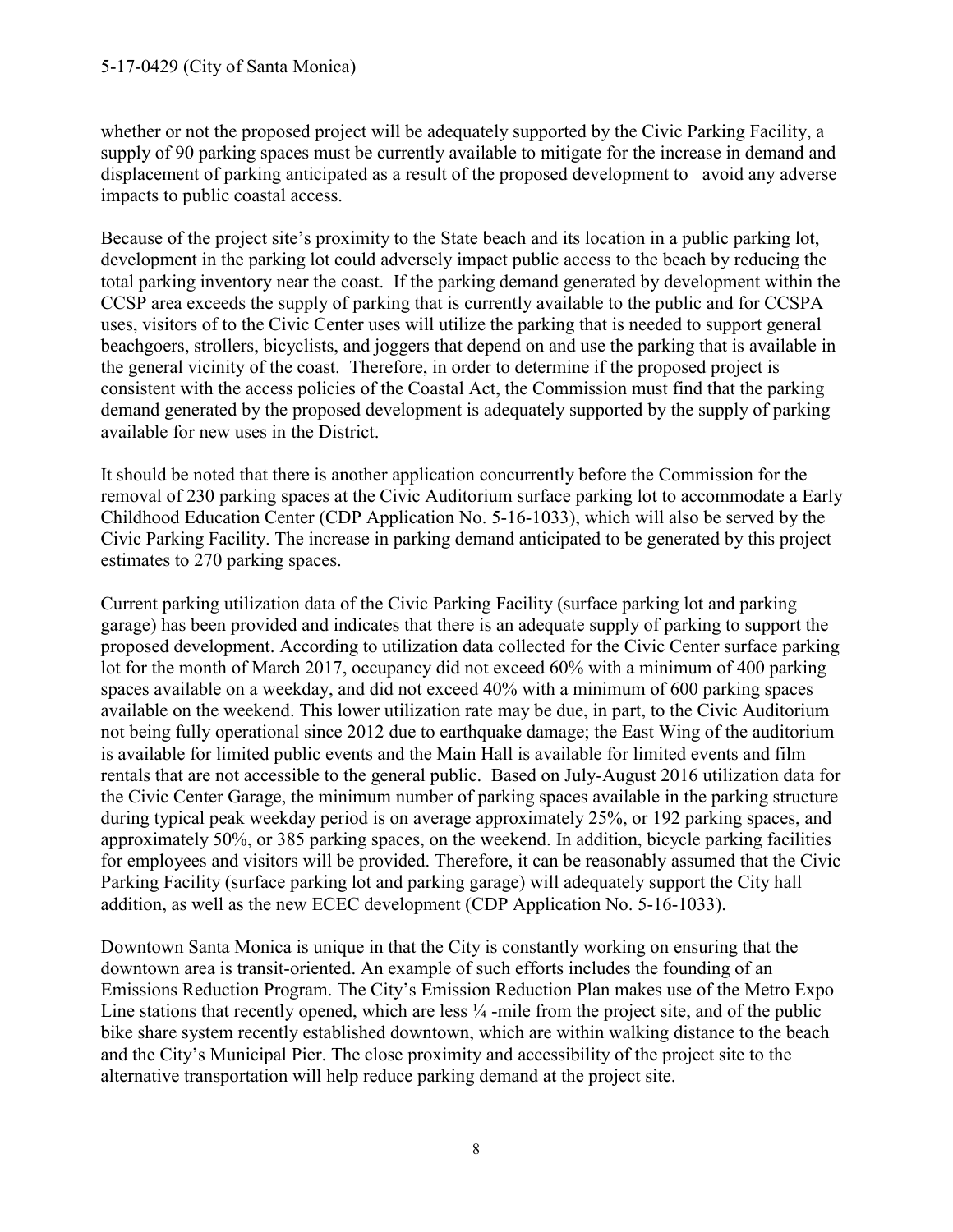whether or not the proposed project will be adequately supported by the Civic Parking Facility, a supply of 90 parking spaces must be currently available to mitigate for the increase in demand and displacement of parking anticipated as a result of the proposed development to avoid any adverse impacts to public coastal access.

Because of the project site's proximity to the State beach and its location in a public parking lot, development in the parking lot could adversely impact public access to the beach by reducing the total parking inventory near the coast. If the parking demand generated by development within the CCSP area exceeds the supply of parking that is currently available to the public and for CCSPA uses, visitors of to the Civic Center uses will utilize the parking that is needed to support general beachgoers, strollers, bicyclists, and joggers that depend on and use the parking that is available in the general vicinity of the coast. Therefore, in order to determine if the proposed project is consistent with the access policies of the Coastal Act, the Commission must find that the parking demand generated by the proposed development is adequately supported by the supply of parking available for new uses in the District.

It should be noted that there is another application concurrently before the Commission for the removal of 230 parking spaces at the Civic Auditorium surface parking lot to accommodate a Early Childhood Education Center (CDP Application No. 5-16-1033), which will also be served by the Civic Parking Facility. The increase in parking demand anticipated to be generated by this project estimates to 270 parking spaces.

Current parking utilization data of the Civic Parking Facility (surface parking lot and parking garage) has been provided and indicates that there is an adequate supply of parking to support the proposed development. According to utilization data collected for the Civic Center surface parking lot for the month of March 2017, occupancy did not exceed 60% with a minimum of 400 parking spaces available on a weekday, and did not exceed 40% with a minimum of 600 parking spaces available on the weekend. This lower utilization rate may be due, in part, to the Civic Auditorium not being fully operational since 2012 due to earthquake damage; the East Wing of the auditorium is available for limited public events and the Main Hall is available for limited events and film rentals that are not accessible to the general public. Based on July-August 2016 utilization data for the Civic Center Garage, the minimum number of parking spaces available in the parking structure during typical peak weekday period is on average approximately 25%, or 192 parking spaces, and approximately 50%, or 385 parking spaces, on the weekend. In addition, bicycle parking facilities for employees and visitors will be provided. Therefore, it can be reasonably assumed that the Civic Parking Facility (surface parking lot and parking garage) will adequately support the City hall addition, as well as the new ECEC development (CDP Application No. 5-16-1033).

Downtown Santa Monica is unique in that the City is constantly working on ensuring that the downtown area is transit-oriented. An example of such efforts includes the founding of an Emissions Reduction Program. The City's Emission Reduction Plan makes use of the Metro Expo Line stations that recently opened, which are less  $\frac{1}{4}$ -mile from the project site, and of the public bike share system recently established downtown, which are within walking distance to the beach and the City's Municipal Pier. The close proximity and accessibility of the project site to the alternative transportation will help reduce parking demand at the project site.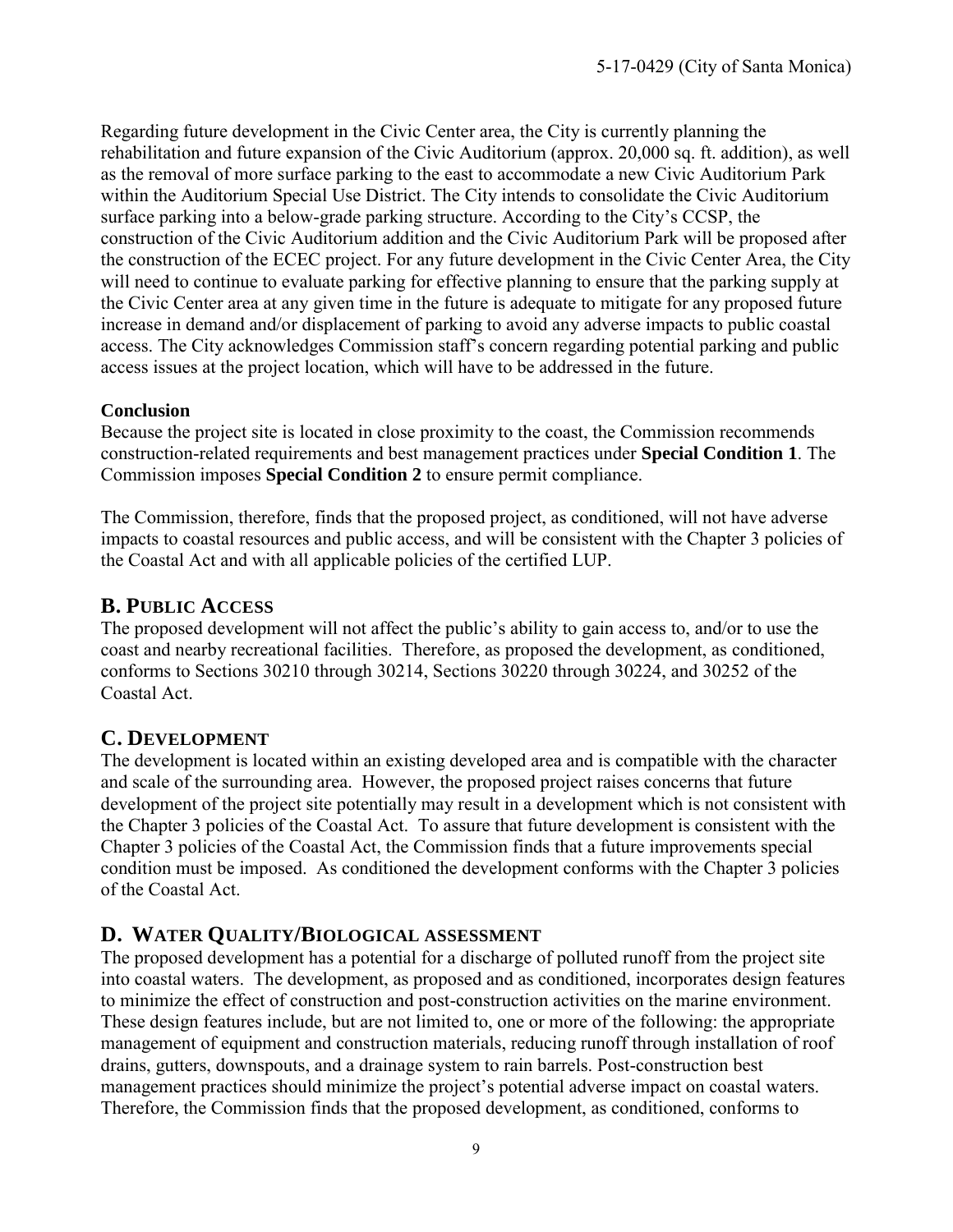Regarding future development in the Civic Center area, the City is currently planning the rehabilitation and future expansion of the Civic Auditorium (approx. 20,000 sq. ft. addition), as well as the removal of more surface parking to the east to accommodate a new Civic Auditorium Park within the Auditorium Special Use District. The City intends to consolidate the Civic Auditorium surface parking into a below-grade parking structure. According to the City's CCSP, the construction of the Civic Auditorium addition and the Civic Auditorium Park will be proposed after the construction of the ECEC project. For any future development in the Civic Center Area, the City will need to continue to evaluate parking for effective planning to ensure that the parking supply at the Civic Center area at any given time in the future is adequate to mitigate for any proposed future increase in demand and/or displacement of parking to avoid any adverse impacts to public coastal access. The City acknowledges Commission staff's concern regarding potential parking and public access issues at the project location, which will have to be addressed in the future.

#### **Conclusion**

Because the project site is located in close proximity to the coast, the Commission recommends construction-related requirements and best management practices under **Special Condition 1**. The Commission imposes **Special Condition 2** to ensure permit compliance.

The Commission, therefore, finds that the proposed project, as conditioned, will not have adverse impacts to coastal resources and public access, and will be consistent with the Chapter 3 policies of the Coastal Act and with all applicable policies of the certified LUP.

# <span id="page-8-0"></span>**B. PUBLIC ACCESS**

The proposed development will not affect the public's ability to gain access to, and/or to use the coast and nearby recreational facilities. Therefore, as proposed the development, as conditioned, conforms to Sections 30210 through 30214, Sections 30220 through 30224, and 30252 of the Coastal Act.

# <span id="page-8-1"></span>**C. DEVELOPMENT**

The development is located within an existing developed area and is compatible with the character and scale of the surrounding area. However, the proposed project raises concerns that future development of the project site potentially may result in a development which is not consistent with the Chapter 3 policies of the Coastal Act. To assure that future development is consistent with the Chapter 3 policies of the Coastal Act, the Commission finds that a future improvements special condition must be imposed. As conditioned the development conforms with the Chapter 3 policies of the Coastal Act.

### <span id="page-8-2"></span>**D. WATER QUALITY/BIOLOGICAL ASSESSMENT**

The proposed development has a potential for a discharge of polluted runoff from the project site into coastal waters. The development, as proposed and as conditioned, incorporates design features to minimize the effect of construction and post-construction activities on the marine environment. These design features include, but are not limited to, one or more of the following: the appropriate management of equipment and construction materials, reducing runoff through installation of roof drains, gutters, downspouts, and a drainage system to rain barrels. Post-construction best management practices should minimize the project's potential adverse impact on coastal waters. Therefore, the Commission finds that the proposed development, as conditioned, conforms to